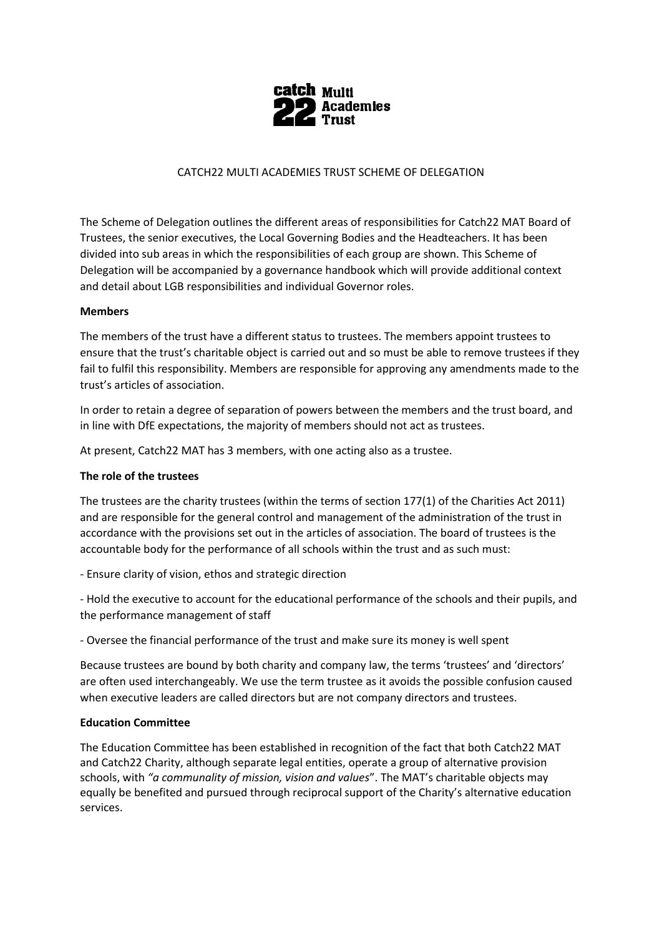

## CATCH22 MULTI ACADEMIES TRUST SCHEME OF DELEGATION

The Scheme of Delegation outlines the different areas of responsibilities for Catch22 MAT Board of Trustees, the senior executives, the Local Governing Bodies and the Headteachers. It has been divided into sub areas in which the responsibilities of each group are shown. This Scheme of Delegation will be accompanied by a governance handbook which will provide additional context and detail about LGB responsibilities and individual Governor roles.

## **Members**

The members of the trust have a different status to trustees. The members appoint trustees to ensure that the trust's charitable object is carried out and so must be able to remove trustees if they fail to fulfil this responsibility. Members are responsible for approving any amendments made to the trust's articles of association.

In order to retain a degree of separation of powers between the members and the trust board, and in line with DfE expectations, the majority of members should not act as trustees.

At present, Catch22 MAT has 3 members, with one acting also as a trustee.

## **The role of the trustees**

The trustees are the charity trustees (within the terms of section 177(1) of the Charities Act 2011) and are responsible for the general control and management of the administration of the trust in accordance with the provisions set out in the articles of association. The board of trustees is the accountable body for the performance of all schools within the trust and as such must:

- Ensure clarity of vision, ethos and strategic direction

- Hold the executive to account for the educational performance of the schools and their pupils, and the performance management of staff

- Oversee the financial performance of the trust and make sure its money is well spent

Because trustees are bound by both charity and company law, the terms 'trustees' and 'directors' are often used interchangeably. We use the term trustee as it avoids the possible confusion caused when executive leaders are called directors but are not company directors and trustees.

## **Education Committee**

The Education Committee has been established in recognition of the fact that both Catch22 MAT and Catch22 Charity, although separate legal entities, operate a group of alternative provision schools, with *"a communality of mission, vision and values*". The MAT's charitable objects may equally be benefited and pursued through reciprocal support of the Charity's alternative education services.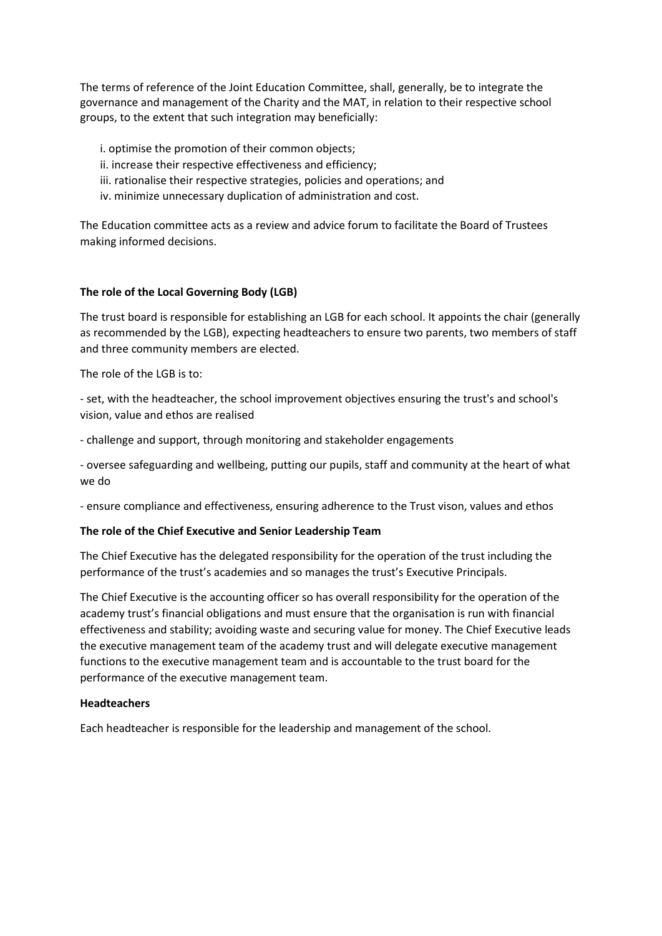The terms of reference of the Joint Education Committee, shall, generally, be to integrate the governance and management of the Charity and the MAT, in relation to their respective school groups, to the extent that such integration may beneficially:

i. optimise the promotion of their common objects;

- ii. increase their respective effectiveness and efficiency;
- iii. rationalise their respective strategies, policies and operations; and
- iv. minimize unnecessary duplication of administration and cost.

The Education committee acts as a review and advice forum to facilitate the Board of Trustees making informed decisions.

## **The role of the Local Governing Body (LGB)**

The trust board is responsible for establishing an LGB for each school. It appoints the chair (generally as recommended by the LGB), expecting headteachers to ensure two parents, two members of staff and three community members are elected.

The role of the LGB is to:

- set, with the headteacher, the school improvement objectives ensuring the trust's and school's vision, value and ethos are realised

- challenge and support, through monitoring and stakeholder engagements

- oversee safeguarding and wellbeing, putting our pupils, staff and community at the heart of what we do

- ensure compliance and effectiveness, ensuring adherence to the Trust vison, values and ethos

## **The role of the Chief Executive and Senior Leadership Team**

The Chief Executive has the delegated responsibility for the operation of the trust including the performance of the trust's academies and so manages the trust's Executive Principals.

The Chief Executive is the accounting officer so has overall responsibility for the operation of the academy trust's financial obligations and must ensure that the organisation is run with financial effectiveness and stability; avoiding waste and securing value for money. The Chief Executive leads the executive management team of the academy trust and will delegate executive management functions to the executive management team and is accountable to the trust board for the performance of the executive management team.

## **Headteachers**

Each headteacher is responsible for the leadership and management of the school.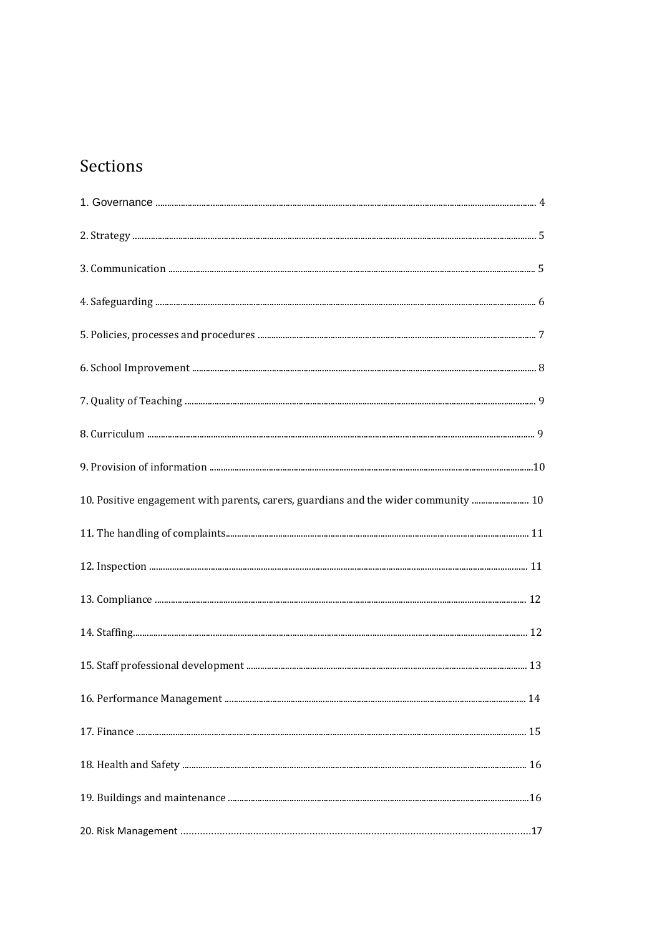# Sections

| 10. Positive engagement with parents, carers, guardians and the wider community  10 |  |
|-------------------------------------------------------------------------------------|--|
|                                                                                     |  |
|                                                                                     |  |
|                                                                                     |  |
|                                                                                     |  |
|                                                                                     |  |
|                                                                                     |  |
|                                                                                     |  |
|                                                                                     |  |
|                                                                                     |  |
|                                                                                     |  |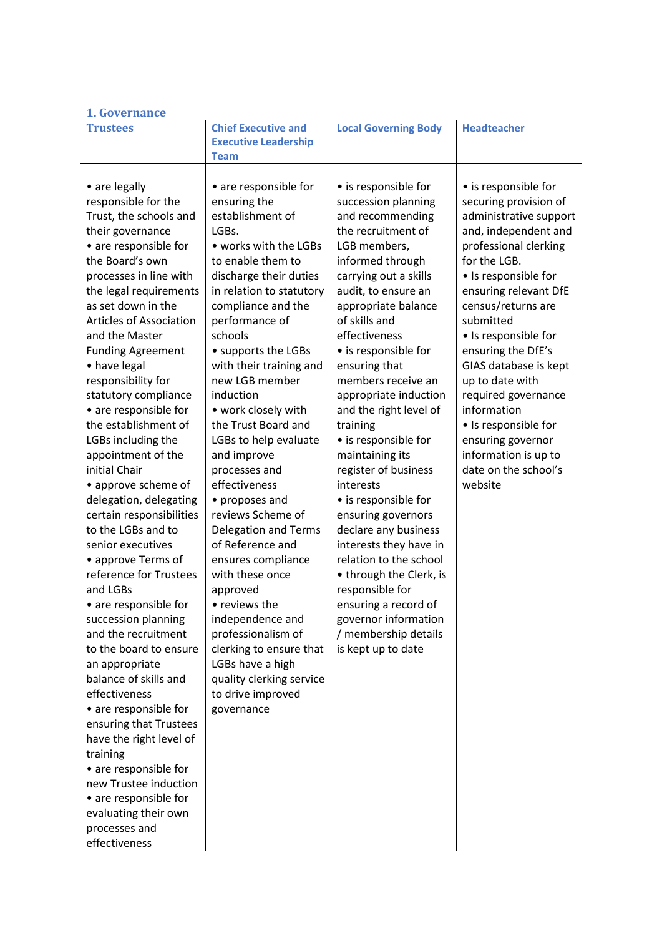| 1. Governance                  |                             |                             |                        |
|--------------------------------|-----------------------------|-----------------------------|------------------------|
| <b>Trustees</b>                | <b>Chief Executive and</b>  | <b>Local Governing Body</b> | <b>Headteacher</b>     |
|                                | <b>Executive Leadership</b> |                             |                        |
|                                | <b>Team</b>                 |                             |                        |
|                                |                             |                             |                        |
| • are legally                  | • are responsible for       | • is responsible for        | • is responsible for   |
| responsible for the            | ensuring the                | succession planning         | securing provision of  |
| Trust, the schools and         | establishment of            | and recommending            | administrative support |
| their governance               | LGBs.                       | the recruitment of          | and, independent and   |
| • are responsible for          | • works with the LGBs       | LGB members,                | professional clerking  |
| the Board's own                | to enable them to           | informed through            | for the LGB.           |
| processes in line with         | discharge their duties      | carrying out a skills       | • Is responsible for   |
| the legal requirements         | in relation to statutory    | audit, to ensure an         | ensuring relevant DfE  |
| as set down in the             | compliance and the          | appropriate balance         | census/returns are     |
| <b>Articles of Association</b> | performance of              | of skills and               | submitted              |
| and the Master                 | schools                     | effectiveness               | • Is responsible for   |
| <b>Funding Agreement</b>       | • supports the LGBs         | • is responsible for        | ensuring the DfE's     |
| • have legal                   | with their training and     | ensuring that               | GIAS database is kept  |
| responsibility for             | new LGB member              | members receive an          | up to date with        |
| statutory compliance           | induction                   | appropriate induction       | required governance    |
| • are responsible for          | • work closely with         | and the right level of      | information            |
| the establishment of           | the Trust Board and         | training                    | • Is responsible for   |
| LGBs including the             | LGBs to help evaluate       | • is responsible for        | ensuring governor      |
| appointment of the             | and improve                 | maintaining its             | information is up to   |
| initial Chair                  | processes and               | register of business        | date on the school's   |
| • approve scheme of            | effectiveness               | interests                   | website                |
| delegation, delegating         | • proposes and              | • is responsible for        |                        |
| certain responsibilities       | reviews Scheme of           | ensuring governors          |                        |
| to the LGBs and to             | Delegation and Terms        | declare any business        |                        |
| senior executives              | of Reference and            | interests they have in      |                        |
| • approve Terms of             | ensures compliance          | relation to the school      |                        |
| reference for Trustees         | with these once             | • through the Clerk, is     |                        |
| and LGBs                       | approved                    | responsible for             |                        |
| • are responsible for          | • reviews the               | ensuring a record of        |                        |
| succession planning            | independence and            | governor information        |                        |
| and the recruitment            | professionalism of          | / membership details        |                        |
| to the board to ensure         | clerking to ensure that     | is kept up to date          |                        |
| an appropriate                 | LGBs have a high            |                             |                        |
| balance of skills and          | quality clerking service    |                             |                        |
| effectiveness                  | to drive improved           |                             |                        |
| • are responsible for          | governance                  |                             |                        |
| ensuring that Trustees         |                             |                             |                        |
| have the right level of        |                             |                             |                        |
| training                       |                             |                             |                        |
| • are responsible for          |                             |                             |                        |
| new Trustee induction          |                             |                             |                        |
| • are responsible for          |                             |                             |                        |
| evaluating their own           |                             |                             |                        |
| processes and                  |                             |                             |                        |
| effectiveness                  |                             |                             |                        |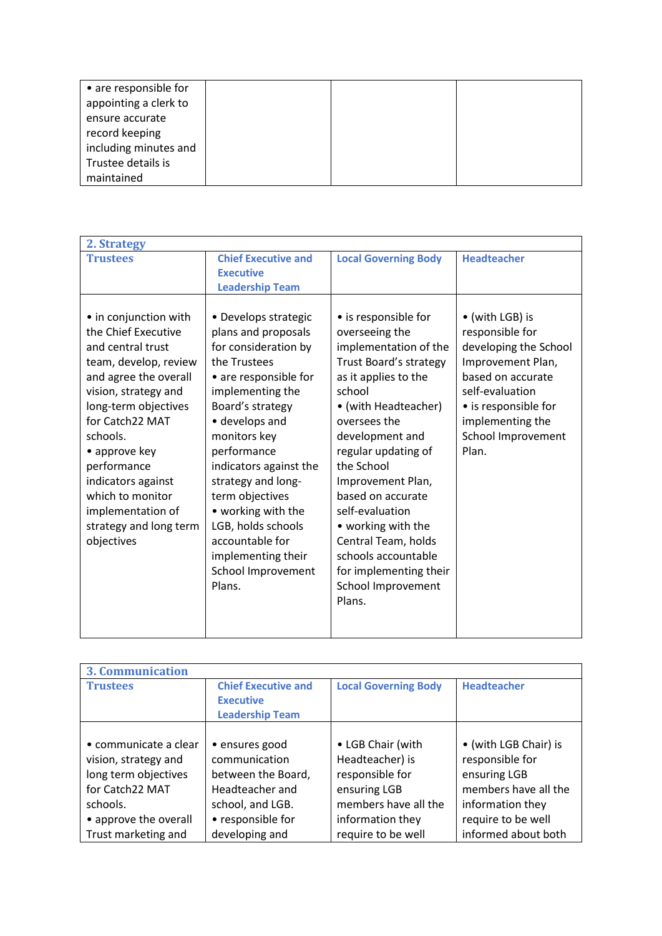| • are responsible for |  |  |
|-----------------------|--|--|
| appointing a clerk to |  |  |
| ensure accurate       |  |  |
| record keeping        |  |  |
| including minutes and |  |  |
| Trustee details is    |  |  |
| maintained            |  |  |

| 2. Strategy                                                                                                                                                                                                                                                                                                                               |                                                                                                                                                                                                                                                                                                                                                                                               |                                                                                                                                                                                                                                                                                                                                                                                                                        |                                                                                                                                                                                                     |
|-------------------------------------------------------------------------------------------------------------------------------------------------------------------------------------------------------------------------------------------------------------------------------------------------------------------------------------------|-----------------------------------------------------------------------------------------------------------------------------------------------------------------------------------------------------------------------------------------------------------------------------------------------------------------------------------------------------------------------------------------------|------------------------------------------------------------------------------------------------------------------------------------------------------------------------------------------------------------------------------------------------------------------------------------------------------------------------------------------------------------------------------------------------------------------------|-----------------------------------------------------------------------------------------------------------------------------------------------------------------------------------------------------|
| <b>Trustees</b>                                                                                                                                                                                                                                                                                                                           | <b>Chief Executive and</b><br><b>Executive</b><br><b>Leadership Team</b>                                                                                                                                                                                                                                                                                                                      | <b>Local Governing Body</b>                                                                                                                                                                                                                                                                                                                                                                                            | <b>Headteacher</b>                                                                                                                                                                                  |
| • in conjunction with<br>the Chief Executive<br>and central trust<br>team, develop, review<br>and agree the overall<br>vision, strategy and<br>long-term objectives<br>for Catch22 MAT<br>schools.<br>• approve key<br>performance<br>indicators against<br>which to monitor<br>implementation of<br>strategy and long term<br>objectives | • Develops strategic<br>plans and proposals<br>for consideration by<br>the Trustees<br>• are responsible for<br>implementing the<br>Board's strategy<br>• develops and<br>monitors key<br>performance<br>indicators against the<br>strategy and long-<br>term objectives<br>• working with the<br>LGB, holds schools<br>accountable for<br>implementing their<br>School Improvement<br>Plans. | • is responsible for<br>overseeing the<br>implementation of the<br>Trust Board's strategy<br>as it applies to the<br>school<br>• (with Headteacher)<br>oversees the<br>development and<br>regular updating of<br>the School<br>Improvement Plan,<br>based on accurate<br>self-evaluation<br>• working with the<br>Central Team, holds<br>schools accountable<br>for implementing their<br>School Improvement<br>Plans. | • (with LGB) is<br>responsible for<br>developing the School<br>Improvement Plan,<br>based on accurate<br>self-evaluation<br>• is responsible for<br>implementing the<br>School Improvement<br>Plan. |

| <b>3. Communication</b> |                                                                          |                             |                       |
|-------------------------|--------------------------------------------------------------------------|-----------------------------|-----------------------|
| <b>Trustees</b>         | <b>Chief Executive and</b><br><b>Executive</b><br><b>Leadership Team</b> | <b>Local Governing Body</b> | <b>Headteacher</b>    |
|                         |                                                                          |                             |                       |
| • communicate a clear   | · ensures good                                                           | • LGB Chair (with           | • (with LGB Chair) is |
| vision, strategy and    | communication                                                            | Headteacher) is             | responsible for       |
| long term objectives    | between the Board,                                                       | responsible for             | ensuring LGB          |
| for Catch22 MAT         | Headteacher and                                                          | ensuring LGB                | members have all the  |
| schools.                | school, and LGB.                                                         | members have all the        | information they      |
| • approve the overall   | • responsible for                                                        | information they            | require to be well    |
| Trust marketing and     | developing and                                                           | require to be well          | informed about both   |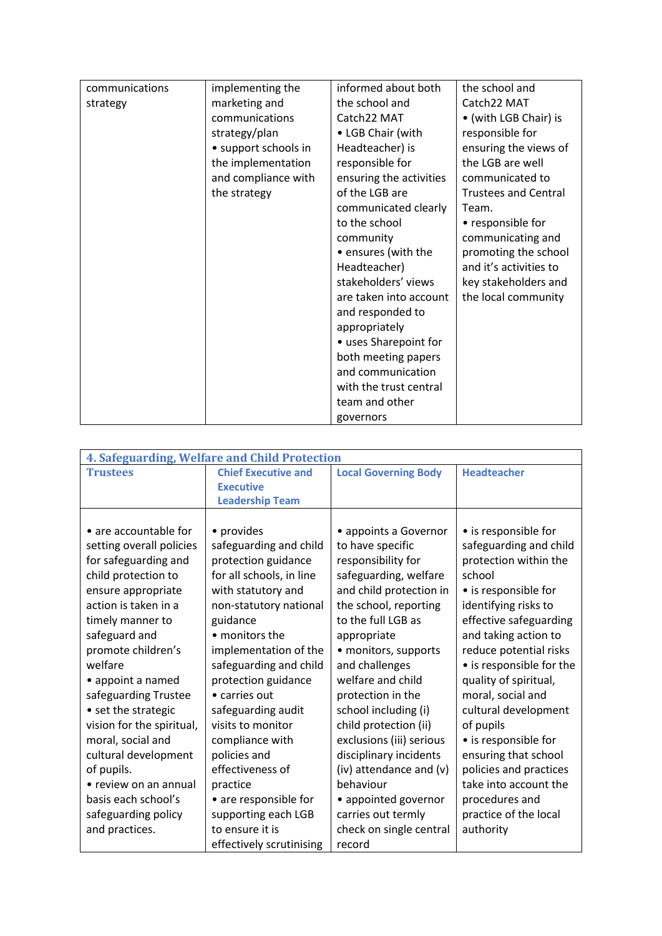| communications | implementing the     | informed about both     | the school and              |
|----------------|----------------------|-------------------------|-----------------------------|
| strategy       | marketing and        | the school and          | Catch22 MAT                 |
|                | communications       | Catch22 MAT             | • (with LGB Chair) is       |
|                | strategy/plan        | • LGB Chair (with       | responsible for             |
|                | • support schools in | Headteacher) is         | ensuring the views of       |
|                | the implementation   | responsible for         | the LGB are well            |
|                | and compliance with  | ensuring the activities | communicated to             |
|                | the strategy         | of the LGB are          | <b>Trustees and Central</b> |
|                |                      | communicated clearly    | Team.                       |
|                |                      | to the school           | • responsible for           |
|                |                      | community               | communicating and           |
|                |                      | • ensures (with the     | promoting the school        |
|                |                      | Headteacher)            | and it's activities to      |
|                |                      | stakeholders' views     | key stakeholders and        |
|                |                      | are taken into account  | the local community         |
|                |                      | and responded to        |                             |
|                |                      | appropriately           |                             |
|                |                      | • uses Sharepoint for   |                             |
|                |                      | both meeting papers     |                             |
|                |                      | and communication       |                             |
|                |                      | with the trust central  |                             |
|                |                      | team and other          |                             |
|                |                      | governors               |                             |

| 4. Safeguarding, Welfare and Child Protection |                            |                             |                          |
|-----------------------------------------------|----------------------------|-----------------------------|--------------------------|
| <b>Trustees</b>                               | <b>Chief Executive and</b> | <b>Local Governing Body</b> | <b>Headteacher</b>       |
|                                               | <b>Executive</b>           |                             |                          |
|                                               | <b>Leadership Team</b>     |                             |                          |
|                                               |                            |                             |                          |
| • are accountable for                         | • provides                 | • appoints a Governor       | • is responsible for     |
| setting overall policies                      | safeguarding and child     | to have specific            | safeguarding and child   |
| for safeguarding and                          | protection guidance        | responsibility for          | protection within the    |
| child protection to                           | for all schools, in line   | safeguarding, welfare       | school                   |
| ensure appropriate                            | with statutory and         | and child protection in     | • is responsible for     |
| action is taken in a                          | non-statutory national     | the school, reporting       | identifying risks to     |
| timely manner to                              | guidance                   | to the full LGB as          | effective safeguarding   |
| safeguard and                                 | • monitors the             | appropriate                 | and taking action to     |
| promote children's                            | implementation of the      | • monitors, supports        | reduce potential risks   |
| welfare                                       | safeguarding and child     | and challenges              | • is responsible for the |
| • appoint a named                             | protection guidance        | welfare and child           | quality of spiritual,    |
| safeguarding Trustee                          | • carries out              | protection in the           | moral, social and        |
| • set the strategic                           | safeguarding audit         | school including (i)        | cultural development     |
| vision for the spiritual,                     | visits to monitor          | child protection (ii)       | of pupils                |
| moral, social and                             | compliance with            | exclusions (iii) serious    | • is responsible for     |
| cultural development                          | policies and               | disciplinary incidents      | ensuring that school     |
| of pupils.                                    | effectiveness of           | (iv) attendance and (v)     | policies and practices   |
| • review on an annual                         | practice                   | behaviour                   | take into account the    |
| basis each school's                           | • are responsible for      | • appointed governor        | procedures and           |
| safeguarding policy                           | supporting each LGB        | carries out termly          | practice of the local    |
| and practices.                                | to ensure it is            | check on single central     | authority                |
|                                               | effectively scrutinising   | record                      |                          |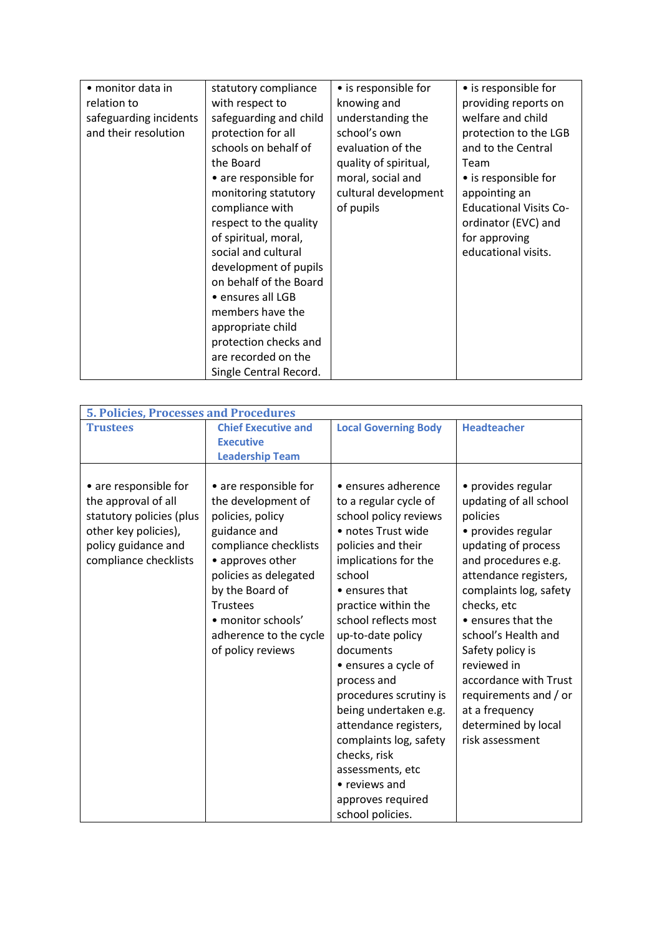| • monitor data in      | statutory compliance   | • is responsible for  | • is responsible for          |
|------------------------|------------------------|-----------------------|-------------------------------|
| relation to            | with respect to        | knowing and           | providing reports on          |
| safeguarding incidents | safeguarding and child | understanding the     | welfare and child             |
| and their resolution   | protection for all     | school's own          | protection to the LGB         |
|                        | schools on behalf of   | evaluation of the     | and to the Central            |
|                        | the Board              | quality of spiritual, | Team                          |
|                        | • are responsible for  | moral, social and     | • is responsible for          |
|                        | monitoring statutory   | cultural development  | appointing an                 |
|                        | compliance with        | of pupils             | <b>Educational Visits Co-</b> |
|                        | respect to the quality |                       | ordinator (EVC) and           |
|                        | of spiritual, moral,   |                       | for approving                 |
|                        | social and cultural    |                       | educational visits.           |
|                        | development of pupils  |                       |                               |
|                        | on behalf of the Board |                       |                               |
|                        | • ensures all LGB      |                       |                               |
|                        | members have the       |                       |                               |
|                        | appropriate child      |                       |                               |
|                        | protection checks and  |                       |                               |
|                        | are recorded on the    |                       |                               |
|                        | Single Central Record. |                       |                               |

| <b>5. Policies, Processes and Procedures</b>                                                                                                     |                                                                                                                                                                                                                                                                  |                                                                                                                                                                                                                                                                                                                                                                                                                                                                                                   |                                                                                                                                                                                                                                                                                                                                                                                              |
|--------------------------------------------------------------------------------------------------------------------------------------------------|------------------------------------------------------------------------------------------------------------------------------------------------------------------------------------------------------------------------------------------------------------------|---------------------------------------------------------------------------------------------------------------------------------------------------------------------------------------------------------------------------------------------------------------------------------------------------------------------------------------------------------------------------------------------------------------------------------------------------------------------------------------------------|----------------------------------------------------------------------------------------------------------------------------------------------------------------------------------------------------------------------------------------------------------------------------------------------------------------------------------------------------------------------------------------------|
| <b>Trustees</b>                                                                                                                                  | <b>Chief Executive and</b><br><b>Executive</b><br><b>Leadership Team</b>                                                                                                                                                                                         | <b>Local Governing Body</b>                                                                                                                                                                                                                                                                                                                                                                                                                                                                       | <b>Headteacher</b>                                                                                                                                                                                                                                                                                                                                                                           |
| • are responsible for<br>the approval of all<br>statutory policies (plus<br>other key policies),<br>policy guidance and<br>compliance checklists | • are responsible for<br>the development of<br>policies, policy<br>guidance and<br>compliance checklists<br>• approves other<br>policies as delegated<br>by the Board of<br><b>Trustees</b><br>• monitor schools'<br>adherence to the cycle<br>of policy reviews | • ensures adherence<br>to a regular cycle of<br>school policy reviews<br>· notes Trust wide<br>policies and their<br>implications for the<br>school<br>• ensures that<br>practice within the<br>school reflects most<br>up-to-date policy<br>documents<br>• ensures a cycle of<br>process and<br>procedures scrutiny is<br>being undertaken e.g.<br>attendance registers,<br>complaints log, safety<br>checks, risk<br>assessments, etc<br>• reviews and<br>approves required<br>school policies. | • provides regular<br>updating of all school<br>policies<br>• provides regular<br>updating of process<br>and procedures e.g.<br>attendance registers,<br>complaints log, safety<br>checks, etc<br>• ensures that the<br>school's Health and<br>Safety policy is<br>reviewed in<br>accordance with Trust<br>requirements and / or<br>at a frequency<br>determined by local<br>risk assessment |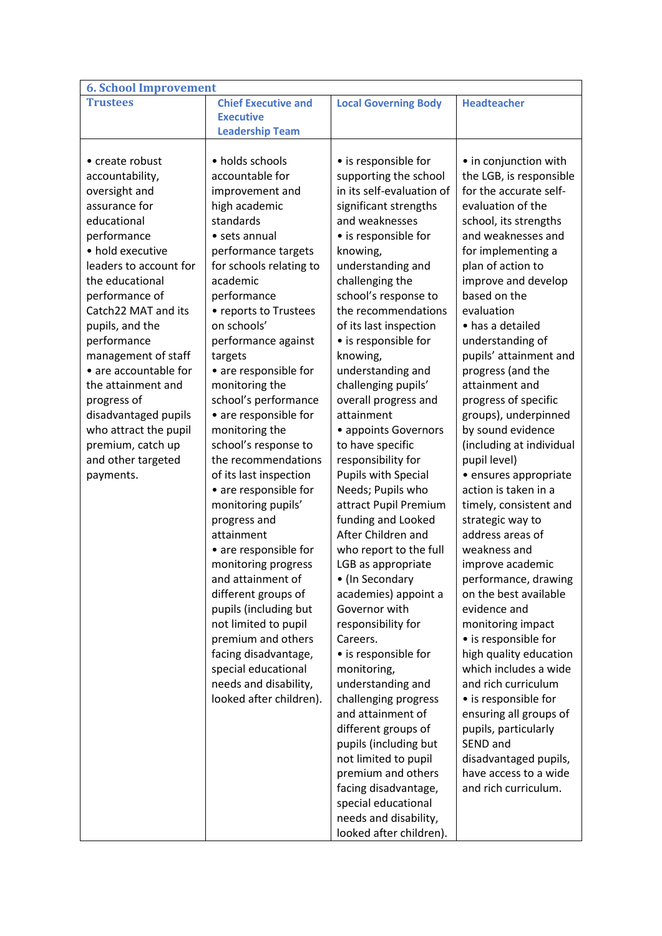| <b>6. School Improvement</b> |                            |                                              |                                      |
|------------------------------|----------------------------|----------------------------------------------|--------------------------------------|
| <b>Trustees</b>              | <b>Chief Executive and</b> | <b>Local Governing Body</b>                  | <b>Headteacher</b>                   |
|                              | <b>Executive</b>           |                                              |                                      |
|                              | <b>Leadership Team</b>     |                                              |                                      |
|                              |                            |                                              |                                      |
| • create robust              | • holds schools            | • is responsible for                         | • in conjunction with                |
| accountability,              | accountable for            | supporting the school                        | the LGB, is responsible              |
| oversight and                | improvement and            | in its self-evaluation of                    | for the accurate self-               |
| assurance for                | high academic              | significant strengths                        | evaluation of the                    |
| educational                  | standards                  | and weaknesses                               | school, its strengths                |
| performance                  | • sets annual              | • is responsible for                         | and weaknesses and                   |
| • hold executive             | performance targets        | knowing,                                     | for implementing a                   |
| leaders to account for       | for schools relating to    | understanding and                            | plan of action to                    |
| the educational              | academic                   | challenging the                              | improve and develop                  |
| performance of               | performance                | school's response to                         | based on the                         |
| Catch22 MAT and its          | • reports to Trustees      | the recommendations                          | evaluation                           |
| pupils, and the              | on schools'                | of its last inspection                       | • has a detailed                     |
| performance                  | performance against        | • is responsible for                         | understanding of                     |
| management of staff          | targets                    | knowing,                                     | pupils' attainment and               |
| • are accountable for        | • are responsible for      | understanding and                            | progress (and the                    |
| the attainment and           | monitoring the             | challenging pupils'                          | attainment and                       |
| progress of                  | school's performance       | overall progress and                         | progress of specific                 |
| disadvantaged pupils         | • are responsible for      | attainment                                   | groups), underpinned                 |
| who attract the pupil        | monitoring the             | • appoints Governors                         | by sound evidence                    |
| premium, catch up            | school's response to       | to have specific                             | (including at individual             |
| and other targeted           | the recommendations        | responsibility for                           | pupil level)                         |
| payments.                    | of its last inspection     | <b>Pupils with Special</b>                   | · ensures appropriate                |
|                              | • are responsible for      | Needs; Pupils who                            | action is taken in a                 |
|                              |                            | attract Pupil Premium                        | timely, consistent and               |
|                              | monitoring pupils'         | funding and Looked                           |                                      |
|                              | progress and<br>attainment | After Children and                           | strategic way to<br>address areas of |
|                              |                            |                                              | weakness and                         |
|                              | • are responsible for      | who report to the full<br>LGB as appropriate |                                      |
|                              | monitoring progress        |                                              | improve academic                     |
|                              | and attainment of          | • (In Secondary                              | performance, drawing                 |
|                              | different groups of        | academies) appoint a                         | on the best available                |
|                              | pupils (including but      | Governor with                                | evidence and                         |
|                              | not limited to pupil       | responsibility for                           | monitoring impact                    |
|                              | premium and others         | Careers.                                     | • is responsible for                 |
|                              | facing disadvantage,       | • is responsible for                         | high quality education               |
|                              | special educational        | monitoring,                                  | which includes a wide                |
|                              | needs and disability,      | understanding and                            | and rich curriculum                  |
|                              | looked after children).    | challenging progress                         | • is responsible for                 |
|                              |                            | and attainment of                            | ensuring all groups of               |
|                              |                            | different groups of                          | pupils, particularly                 |
|                              |                            | pupils (including but                        | SEND and                             |
|                              |                            | not limited to pupil                         | disadvantaged pupils,                |
|                              |                            | premium and others                           | have access to a wide                |
|                              |                            | facing disadvantage,                         | and rich curriculum.                 |
|                              |                            | special educational                          |                                      |
|                              |                            | needs and disability,                        |                                      |
|                              |                            | looked after children).                      |                                      |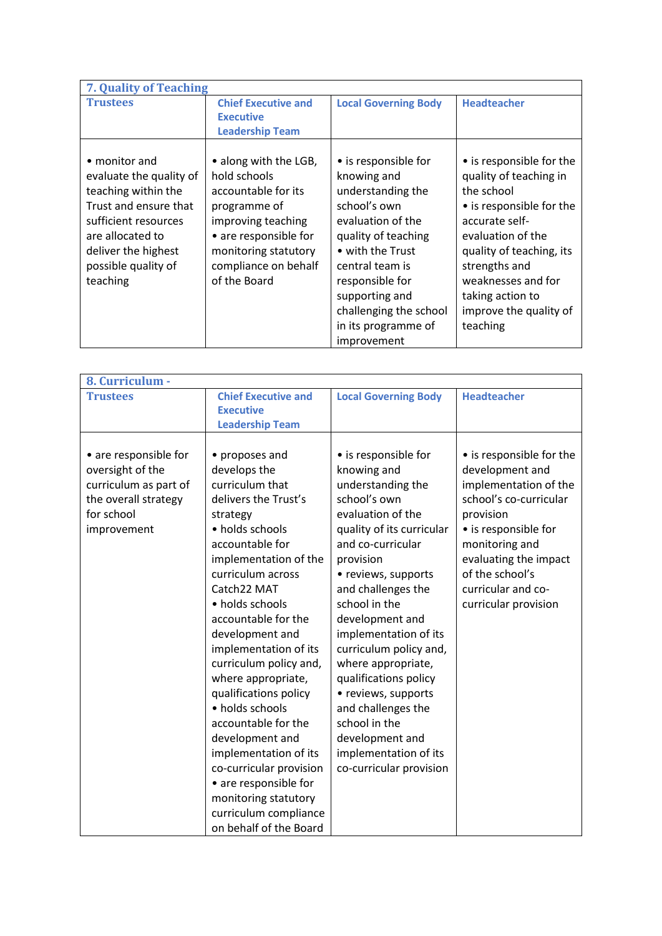| 7. Quality of Teaching                                                                                                                                                                         |                                                                                                                                                                                             |                                                                                                                                                                                                                                                                  |                                                                                                                                                                                                                                                                  |
|------------------------------------------------------------------------------------------------------------------------------------------------------------------------------------------------|---------------------------------------------------------------------------------------------------------------------------------------------------------------------------------------------|------------------------------------------------------------------------------------------------------------------------------------------------------------------------------------------------------------------------------------------------------------------|------------------------------------------------------------------------------------------------------------------------------------------------------------------------------------------------------------------------------------------------------------------|
| <b>Trustees</b>                                                                                                                                                                                | <b>Chief Executive and</b><br><b>Executive</b>                                                                                                                                              | <b>Local Governing Body</b>                                                                                                                                                                                                                                      | <b>Headteacher</b>                                                                                                                                                                                                                                               |
|                                                                                                                                                                                                | <b>Leadership Team</b>                                                                                                                                                                      |                                                                                                                                                                                                                                                                  |                                                                                                                                                                                                                                                                  |
| • monitor and<br>evaluate the quality of<br>teaching within the<br>Trust and ensure that<br>sufficient resources<br>are allocated to<br>deliver the highest<br>possible quality of<br>teaching | • along with the LGB,<br>hold schools<br>accountable for its<br>programme of<br>improving teaching<br>• are responsible for<br>monitoring statutory<br>compliance on behalf<br>of the Board | • is responsible for<br>knowing and<br>understanding the<br>school's own<br>evaluation of the<br>quality of teaching<br>• with the Trust<br>central team is<br>responsible for<br>supporting and<br>challenging the school<br>in its programme of<br>improvement | • is responsible for the<br>quality of teaching in<br>the school<br>• is responsible for the<br>accurate self-<br>evaluation of the<br>quality of teaching, its<br>strengths and<br>weaknesses and for<br>taking action to<br>improve the quality of<br>teaching |

| 8. Curriculum -                                                                                                         |                                                                                                                                                                                                                                                                                                                                                                                                                                                                                                                                                                              |                                                                                                                                                                                                                                                                                                                                                                                                                                                                                      |                                                                                                                                                                                                                                                 |
|-------------------------------------------------------------------------------------------------------------------------|------------------------------------------------------------------------------------------------------------------------------------------------------------------------------------------------------------------------------------------------------------------------------------------------------------------------------------------------------------------------------------------------------------------------------------------------------------------------------------------------------------------------------------------------------------------------------|--------------------------------------------------------------------------------------------------------------------------------------------------------------------------------------------------------------------------------------------------------------------------------------------------------------------------------------------------------------------------------------------------------------------------------------------------------------------------------------|-------------------------------------------------------------------------------------------------------------------------------------------------------------------------------------------------------------------------------------------------|
| <b>Trustees</b>                                                                                                         | <b>Chief Executive and</b><br><b>Executive</b><br><b>Leadership Team</b>                                                                                                                                                                                                                                                                                                                                                                                                                                                                                                     | <b>Local Governing Body</b>                                                                                                                                                                                                                                                                                                                                                                                                                                                          | <b>Headteacher</b>                                                                                                                                                                                                                              |
| • are responsible for<br>oversight of the<br>curriculum as part of<br>the overall strategy<br>for school<br>improvement | • proposes and<br>develops the<br>curriculum that<br>delivers the Trust's<br>strategy<br>• holds schools<br>accountable for<br>implementation of the<br>curriculum across<br>Catch22 MAT<br>• holds schools<br>accountable for the<br>development and<br>implementation of its<br>curriculum policy and,<br>where appropriate,<br>qualifications policy<br>• holds schools<br>accountable for the<br>development and<br>implementation of its<br>co-curricular provision<br>• are responsible for<br>monitoring statutory<br>curriculum compliance<br>on behalf of the Board | • is responsible for<br>knowing and<br>understanding the<br>school's own<br>evaluation of the<br>quality of its curricular<br>and co-curricular<br>provision<br>• reviews, supports<br>and challenges the<br>school in the<br>development and<br>implementation of its<br>curriculum policy and,<br>where appropriate,<br>qualifications policy<br>• reviews, supports<br>and challenges the<br>school in the<br>development and<br>implementation of its<br>co-curricular provision | • is responsible for the<br>development and<br>implementation of the<br>school's co-curricular<br>provision<br>• is responsible for<br>monitoring and<br>evaluating the impact<br>of the school's<br>curricular and co-<br>curricular provision |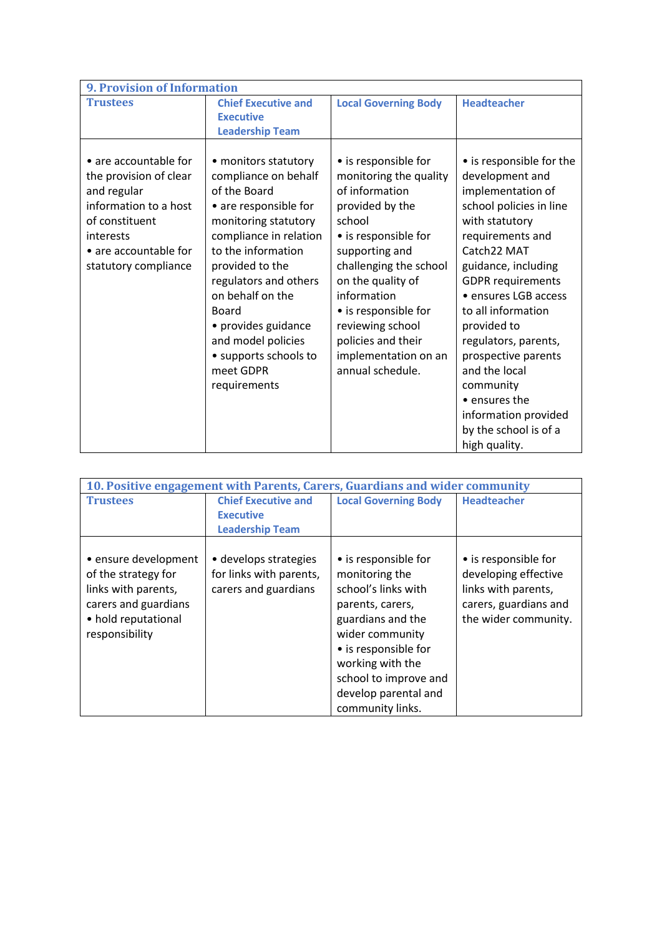| <b>9. Provision of Information</b>                                                                                                                                      |                                                                                                                                                                                                                                                                                                                                           |                                                                                                                                                                                                                                                                                                                     |                                                                                                                                                                                                                                                                                                                                                                                                                                  |  |
|-------------------------------------------------------------------------------------------------------------------------------------------------------------------------|-------------------------------------------------------------------------------------------------------------------------------------------------------------------------------------------------------------------------------------------------------------------------------------------------------------------------------------------|---------------------------------------------------------------------------------------------------------------------------------------------------------------------------------------------------------------------------------------------------------------------------------------------------------------------|----------------------------------------------------------------------------------------------------------------------------------------------------------------------------------------------------------------------------------------------------------------------------------------------------------------------------------------------------------------------------------------------------------------------------------|--|
| <b>Trustees</b>                                                                                                                                                         | <b>Chief Executive and</b><br><b>Executive</b><br><b>Leadership Team</b>                                                                                                                                                                                                                                                                  | <b>Local Governing Body</b>                                                                                                                                                                                                                                                                                         | <b>Headteacher</b>                                                                                                                                                                                                                                                                                                                                                                                                               |  |
| • are accountable for<br>the provision of clear<br>and regular<br>information to a host<br>of constituent<br>interests<br>• are accountable for<br>statutory compliance | • monitors statutory<br>compliance on behalf<br>of the Board<br>• are responsible for<br>monitoring statutory<br>compliance in relation<br>to the information<br>provided to the<br>regulators and others<br>on behalf on the<br>Board<br>• provides guidance<br>and model policies<br>• supports schools to<br>meet GDPR<br>requirements | • is responsible for<br>monitoring the quality<br>of information<br>provided by the<br>school<br>• is responsible for<br>supporting and<br>challenging the school<br>on the quality of<br>information<br>• is responsible for<br>reviewing school<br>policies and their<br>implementation on an<br>annual schedule. | • is responsible for the<br>development and<br>implementation of<br>school policies in line<br>with statutory<br>requirements and<br>Catch22 MAT<br>guidance, including<br><b>GDPR</b> requirements<br>• ensures LGB access<br>to all information<br>provided to<br>regulators, parents,<br>prospective parents<br>and the local<br>community<br>• ensures the<br>information provided<br>by the school is of a<br>high quality. |  |

| 10. Positive engagement with Parents, Carers, Guardians and wider community                                                         |                                                                          |                                                                                                                                                                       |                                                                                                                      |
|-------------------------------------------------------------------------------------------------------------------------------------|--------------------------------------------------------------------------|-----------------------------------------------------------------------------------------------------------------------------------------------------------------------|----------------------------------------------------------------------------------------------------------------------|
| <b>Trustees</b>                                                                                                                     | <b>Chief Executive and</b>                                               | <b>Local Governing Body</b>                                                                                                                                           | <b>Headteacher</b>                                                                                                   |
|                                                                                                                                     | <b>Executive</b>                                                         |                                                                                                                                                                       |                                                                                                                      |
|                                                                                                                                     | <b>Leadership Team</b>                                                   |                                                                                                                                                                       |                                                                                                                      |
| • ensure development<br>of the strategy for<br>links with parents,<br>carers and guardians<br>• hold reputational<br>responsibility | • develops strategies<br>for links with parents,<br>carers and guardians | • is responsible for<br>monitoring the<br>school's links with<br>parents, carers,<br>guardians and the<br>wider community<br>• is responsible for<br>working with the | • is responsible for<br>developing effective<br>links with parents,<br>carers, guardians and<br>the wider community. |
|                                                                                                                                     |                                                                          | school to improve and                                                                                                                                                 |                                                                                                                      |
|                                                                                                                                     |                                                                          | develop parental and                                                                                                                                                  |                                                                                                                      |
|                                                                                                                                     |                                                                          | community links.                                                                                                                                                      |                                                                                                                      |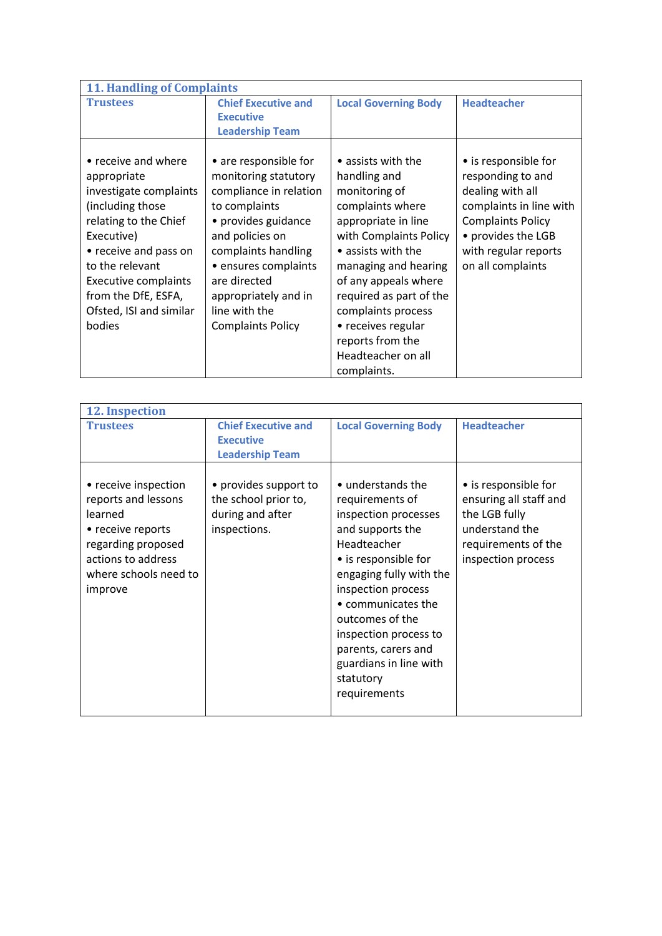| <b>11. Handling of Complaints</b> |                            |                             |                          |  |
|-----------------------------------|----------------------------|-----------------------------|--------------------------|--|
| <b>Trustees</b>                   | <b>Chief Executive and</b> | <b>Local Governing Body</b> | <b>Headteacher</b>       |  |
|                                   | <b>Executive</b>           |                             |                          |  |
|                                   | <b>Leadership Team</b>     |                             |                          |  |
| • receive and where               | • are responsible for      | • assists with the          | • is responsible for     |  |
|                                   |                            |                             |                          |  |
| appropriate                       | monitoring statutory       | handling and                | responding to and        |  |
| investigate complaints            | compliance in relation     | monitoring of               | dealing with all         |  |
| (including those                  | to complaints              | complaints where            | complaints in line with  |  |
| relating to the Chief             | • provides guidance        | appropriate in line         | <b>Complaints Policy</b> |  |
| Executive)                        | and policies on            | with Complaints Policy      | • provides the LGB       |  |
| • receive and pass on             | complaints handling        | • assists with the          | with regular reports     |  |
| to the relevant                   | • ensures complaints       | managing and hearing        | on all complaints        |  |
| <b>Executive complaints</b>       | are directed               | of any appeals where        |                          |  |
| from the DfE, ESFA,               | appropriately and in       | required as part of the     |                          |  |
| Ofsted, ISI and similar           | line with the              | complaints process          |                          |  |
| bodies                            | <b>Complaints Policy</b>   | • receives regular          |                          |  |
|                                   |                            | reports from the            |                          |  |
|                                   |                            | Headteacher on all          |                          |  |
|                                   |                            | complaints.                 |                          |  |

| 12. Inspection                                                                                                                                              |                                                                                   |                                                                                                                                                                                                                                                                                                                          |                                                                                                                                |  |
|-------------------------------------------------------------------------------------------------------------------------------------------------------------|-----------------------------------------------------------------------------------|--------------------------------------------------------------------------------------------------------------------------------------------------------------------------------------------------------------------------------------------------------------------------------------------------------------------------|--------------------------------------------------------------------------------------------------------------------------------|--|
| <b>Trustees</b>                                                                                                                                             | <b>Chief Executive and</b><br><b>Executive</b><br><b>Leadership Team</b>          | <b>Local Governing Body</b>                                                                                                                                                                                                                                                                                              | <b>Headteacher</b>                                                                                                             |  |
| • receive inspection<br>reports and lessons<br>learned<br>• receive reports<br>regarding proposed<br>actions to address<br>where schools need to<br>improve | • provides support to<br>the school prior to,<br>during and after<br>inspections. | • understands the<br>requirements of<br>inspection processes<br>and supports the<br>Headteacher<br>• is responsible for<br>engaging fully with the<br>inspection process<br>• communicates the<br>outcomes of the<br>inspection process to<br>parents, carers and<br>guardians in line with<br>statutory<br>requirements | • is responsible for<br>ensuring all staff and<br>the LGB fully<br>understand the<br>requirements of the<br>inspection process |  |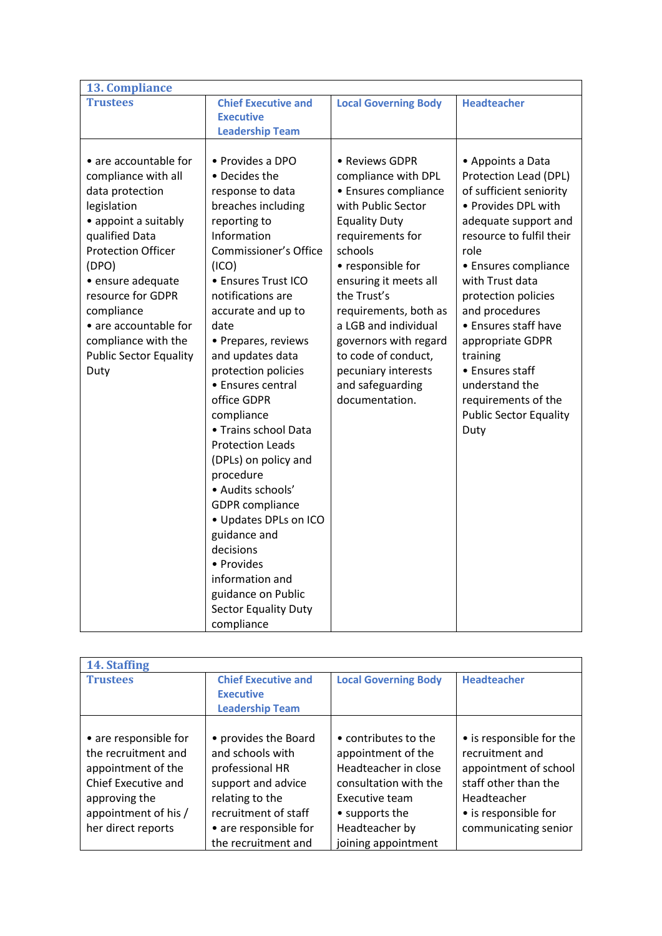| <b>13. Compliance</b>                                                                                                                                                                                                                                                                                           |                                                                                                                                                                                                                                                                                                                                                                                                                                                                                                                                                                                                                                              |                                                                                                                                                                                                                                                                                                                                                                       |                                                                                                                                                                                                                                                                                                                                                                                                           |
|-----------------------------------------------------------------------------------------------------------------------------------------------------------------------------------------------------------------------------------------------------------------------------------------------------------------|----------------------------------------------------------------------------------------------------------------------------------------------------------------------------------------------------------------------------------------------------------------------------------------------------------------------------------------------------------------------------------------------------------------------------------------------------------------------------------------------------------------------------------------------------------------------------------------------------------------------------------------------|-----------------------------------------------------------------------------------------------------------------------------------------------------------------------------------------------------------------------------------------------------------------------------------------------------------------------------------------------------------------------|-----------------------------------------------------------------------------------------------------------------------------------------------------------------------------------------------------------------------------------------------------------------------------------------------------------------------------------------------------------------------------------------------------------|
| <b>Trustees</b>                                                                                                                                                                                                                                                                                                 | <b>Chief Executive and</b>                                                                                                                                                                                                                                                                                                                                                                                                                                                                                                                                                                                                                   | <b>Local Governing Body</b>                                                                                                                                                                                                                                                                                                                                           | <b>Headteacher</b>                                                                                                                                                                                                                                                                                                                                                                                        |
|                                                                                                                                                                                                                                                                                                                 |                                                                                                                                                                                                                                                                                                                                                                                                                                                                                                                                                                                                                                              |                                                                                                                                                                                                                                                                                                                                                                       |                                                                                                                                                                                                                                                                                                                                                                                                           |
|                                                                                                                                                                                                                                                                                                                 |                                                                                                                                                                                                                                                                                                                                                                                                                                                                                                                                                                                                                                              |                                                                                                                                                                                                                                                                                                                                                                       |                                                                                                                                                                                                                                                                                                                                                                                                           |
| • are accountable for<br>compliance with all<br>data protection<br>legislation<br>• appoint a suitably<br>qualified Data<br><b>Protection Officer</b><br>(DPO)<br>· ensure adequate<br>resource for GDPR<br>compliance<br>• are accountable for<br>compliance with the<br><b>Public Sector Equality</b><br>Duty | <b>Executive</b><br><b>Leadership Team</b><br>• Provides a DPO<br>• Decides the<br>response to data<br>breaches including<br>reporting to<br>Information<br>Commissioner's Office<br>(ICO)<br>• Ensures Trust ICO<br>notifications are<br>accurate and up to<br>date<br>• Prepares, reviews<br>and updates data<br>protection policies<br>• Ensures central<br>office GDPR<br>compliance<br>• Trains school Data<br><b>Protection Leads</b><br>(DPLs) on policy and<br>procedure<br>· Audits schools'<br><b>GDPR</b> compliance<br>• Updates DPLs on ICO<br>guidance and<br>decisions<br>• Provides<br>information and<br>guidance on Public | • Reviews GDPR<br>compliance with DPL<br>• Ensures compliance<br>with Public Sector<br><b>Equality Duty</b><br>requirements for<br>schools<br>• responsible for<br>ensuring it meets all<br>the Trust's<br>requirements, both as<br>a LGB and individual<br>governors with regard<br>to code of conduct,<br>pecuniary interests<br>and safeguarding<br>documentation. | • Appoints a Data<br>Protection Lead (DPL)<br>of sufficient seniority<br>• Provides DPL with<br>adequate support and<br>resource to fulfil their<br>role<br>• Ensures compliance<br>with Trust data<br>protection policies<br>and procedures<br>• Ensures staff have<br>appropriate GDPR<br>training<br>• Ensures staff<br>understand the<br>requirements of the<br><b>Public Sector Equality</b><br>Duty |
|                                                                                                                                                                                                                                                                                                                 | <b>Sector Equality Duty</b>                                                                                                                                                                                                                                                                                                                                                                                                                                                                                                                                                                                                                  |                                                                                                                                                                                                                                                                                                                                                                       |                                                                                                                                                                                                                                                                                                                                                                                                           |
|                                                                                                                                                                                                                                                                                                                 | compliance                                                                                                                                                                                                                                                                                                                                                                                                                                                                                                                                                                                                                                   |                                                                                                                                                                                                                                                                                                                                                                       |                                                                                                                                                                                                                                                                                                                                                                                                           |

| 14. Staffing                                                                                                                                             |                                                                                                                                                                              |                                                                                                                                                                          |                                                                                                                                                             |
|----------------------------------------------------------------------------------------------------------------------------------------------------------|------------------------------------------------------------------------------------------------------------------------------------------------------------------------------|--------------------------------------------------------------------------------------------------------------------------------------------------------------------------|-------------------------------------------------------------------------------------------------------------------------------------------------------------|
| <b>Trustees</b>                                                                                                                                          | <b>Chief Executive and</b><br><b>Executive</b><br><b>Leadership Team</b>                                                                                                     | <b>Local Governing Body</b>                                                                                                                                              | <b>Headteacher</b>                                                                                                                                          |
| • are responsible for<br>the recruitment and<br>appointment of the<br>Chief Executive and<br>approving the<br>appointment of his /<br>her direct reports | • provides the Board<br>and schools with<br>professional HR<br>support and advice<br>relating to the<br>recruitment of staff<br>• are responsible for<br>the recruitment and | • contributes to the<br>appointment of the<br>Headteacher in close<br>consultation with the<br>Executive team<br>• supports the<br>Headteacher by<br>joining appointment | • is responsible for the<br>recruitment and<br>appointment of school<br>staff other than the<br>Headteacher<br>• is responsible for<br>communicating senior |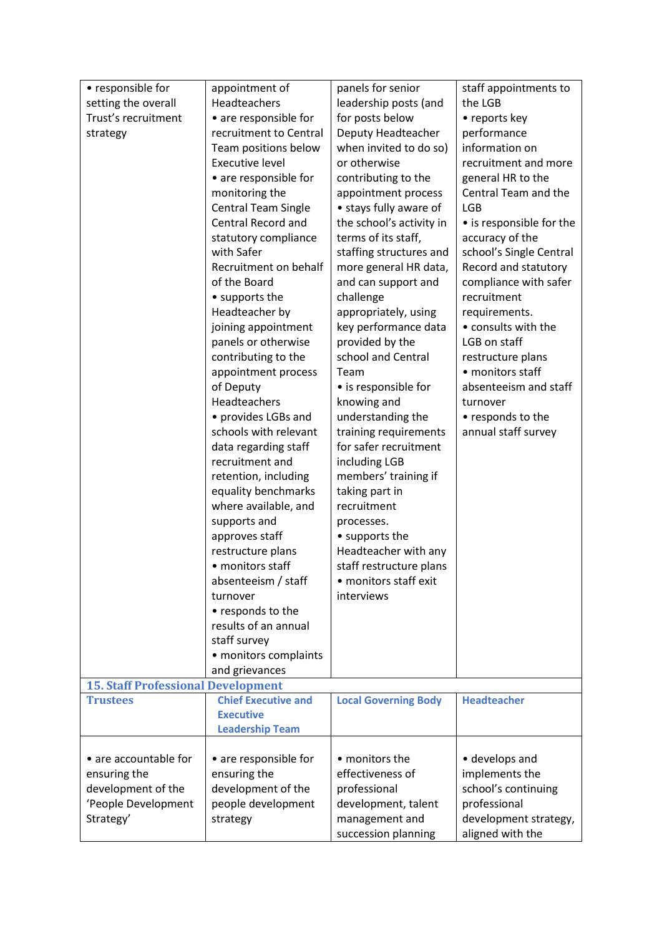| • responsible for                         | appointment of             | panels for senior           | staff appointments to    |
|-------------------------------------------|----------------------------|-----------------------------|--------------------------|
| setting the overall                       | Headteachers               | leadership posts (and       | the LGB                  |
| Trust's recruitment                       | • are responsible for      | for posts below             | • reports key            |
| strategy                                  | recruitment to Central     | Deputy Headteacher          | performance              |
|                                           | Team positions below       | when invited to do so)      | information on           |
|                                           | <b>Executive level</b>     | or otherwise                | recruitment and more     |
|                                           | • are responsible for      | contributing to the         | general HR to the        |
|                                           | monitoring the             | appointment process         | Central Team and the     |
|                                           | <b>Central Team Single</b> | • stays fully aware of      | <b>LGB</b>               |
|                                           | Central Record and         | the school's activity in    | • is responsible for the |
|                                           | statutory compliance       | terms of its staff,         | accuracy of the          |
|                                           | with Safer                 | staffing structures and     | school's Single Central  |
|                                           | Recruitment on behalf      | more general HR data,       | Record and statutory     |
|                                           | of the Board               | and can support and         | compliance with safer    |
|                                           | • supports the             | challenge                   | recruitment              |
|                                           | Headteacher by             | appropriately, using        | requirements.            |
|                                           | joining appointment        | key performance data        | • consults with the      |
|                                           | panels or otherwise        | provided by the             | LGB on staff             |
|                                           | contributing to the        | school and Central          | restructure plans        |
|                                           | appointment process        | Team                        | • monitors staff         |
|                                           | of Deputy                  | • is responsible for        | absenteeism and staff    |
|                                           | Headteachers               | knowing and                 | turnover                 |
|                                           | • provides LGBs and        | understanding the           | • responds to the        |
|                                           | schools with relevant      | training requirements       | annual staff survey      |
|                                           | data regarding staff       | for safer recruitment       |                          |
|                                           | recruitment and            | including LGB               |                          |
|                                           | retention, including       | members' training if        |                          |
|                                           | equality benchmarks        | taking part in              |                          |
|                                           | where available, and       | recruitment                 |                          |
|                                           | supports and               | processes.                  |                          |
|                                           | approves staff             | • supports the              |                          |
|                                           | restructure plans          | Headteacher with any        |                          |
|                                           | • monitors staff           | staff restructure plans     |                          |
|                                           | absenteeism / staff        | • monitors staff exit       |                          |
|                                           | turnover                   | interviews                  |                          |
|                                           | • responds to the          |                             |                          |
|                                           | results of an annual       |                             |                          |
|                                           | staff survey               |                             |                          |
|                                           | • monitors complaints      |                             |                          |
| <b>15. Staff Professional Development</b> | and grievances             |                             |                          |
| <b>Trustees</b>                           | <b>Chief Executive and</b> | <b>Local Governing Body</b> | <b>Headteacher</b>       |
|                                           | <b>Executive</b>           |                             |                          |
|                                           | <b>Leadership Team</b>     |                             |                          |
|                                           |                            |                             |                          |
| • are accountable for                     | • are responsible for      | • monitors the              | • develops and           |
| ensuring the                              | ensuring the               | effectiveness of            | implements the           |
| development of the                        | development of the         | professional                | school's continuing      |
| 'People Development                       | people development         | development, talent         | professional             |
| Strategy'                                 | strategy                   | management and              | development strategy,    |
|                                           |                            | succession planning         | aligned with the         |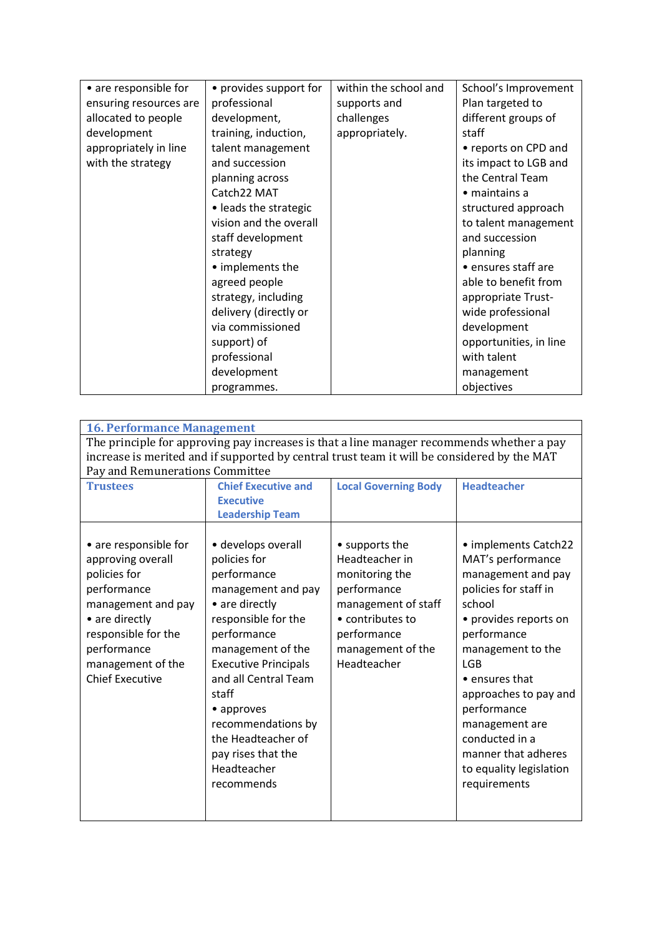| • are responsible for  | • provides support for | within the school and | School's Improvement   |
|------------------------|------------------------|-----------------------|------------------------|
| ensuring resources are | professional           | supports and          | Plan targeted to       |
| allocated to people    | development,           | challenges            | different groups of    |
| development            | training, induction,   | appropriately.        | staff                  |
| appropriately in line  | talent management      |                       | • reports on CPD and   |
| with the strategy      | and succession         |                       | its impact to LGB and  |
|                        | planning across        |                       | the Central Team       |
|                        | Catch22 MAT            |                       | $\bullet$ maintains a  |
|                        | • leads the strategic  |                       | structured approach    |
|                        | vision and the overall |                       | to talent management   |
|                        | staff development      |                       | and succession         |
|                        | strategy               |                       | planning               |
|                        | • implements the       |                       | • ensures staff are    |
|                        | agreed people          |                       | able to benefit from   |
|                        | strategy, including    |                       | appropriate Trust-     |
|                        | delivery (directly or  |                       | wide professional      |
|                        | via commissioned       |                       | development            |
|                        | support) of            |                       | opportunities, in line |
|                        | professional           |                       | with talent            |
|                        | development            |                       | management             |
|                        | programmes.            |                       | objectives             |

| <b>16. Performance Management</b>                                                                                                                                                                      |                                                                                                                                                                                                                                                                                                                                   |                                                                                                                                                                                          |                                                                                                                                                                                                                                                                                                                                                       |
|--------------------------------------------------------------------------------------------------------------------------------------------------------------------------------------------------------|-----------------------------------------------------------------------------------------------------------------------------------------------------------------------------------------------------------------------------------------------------------------------------------------------------------------------------------|------------------------------------------------------------------------------------------------------------------------------------------------------------------------------------------|-------------------------------------------------------------------------------------------------------------------------------------------------------------------------------------------------------------------------------------------------------------------------------------------------------------------------------------------------------|
| Pay and Remunerations Committee                                                                                                                                                                        |                                                                                                                                                                                                                                                                                                                                   | The principle for approving pay increases is that a line manager recommends whether a pay<br>increase is merited and if supported by central trust team it will be considered by the MAT |                                                                                                                                                                                                                                                                                                                                                       |
| <b>Trustees</b>                                                                                                                                                                                        | <b>Chief Executive and</b><br><b>Executive</b><br><b>Leadership Team</b>                                                                                                                                                                                                                                                          | <b>Local Governing Body</b>                                                                                                                                                              | <b>Headteacher</b>                                                                                                                                                                                                                                                                                                                                    |
| • are responsible for<br>approving overall<br>policies for<br>performance<br>management and pay<br>• are directly<br>responsible for the<br>performance<br>management of the<br><b>Chief Executive</b> | · develops overall<br>policies for<br>performance<br>management and pay<br>• are directly<br>responsible for the<br>performance<br>management of the<br><b>Executive Principals</b><br>and all Central Team<br>staff<br>• approves<br>recommendations by<br>the Headteacher of<br>pay rises that the<br>Headteacher<br>recommends | • supports the<br>Headteacher in<br>monitoring the<br>performance<br>management of staff<br>• contributes to<br>performance<br>management of the<br>Headteacher                          | • implements Catch22<br>MAT's performance<br>management and pay<br>policies for staff in<br>school<br>• provides reports on<br>performance<br>management to the<br><b>LGB</b><br>$\bullet$ ensures that<br>approaches to pay and<br>performance<br>management are<br>conducted in a<br>manner that adheres<br>to equality legislation<br>requirements |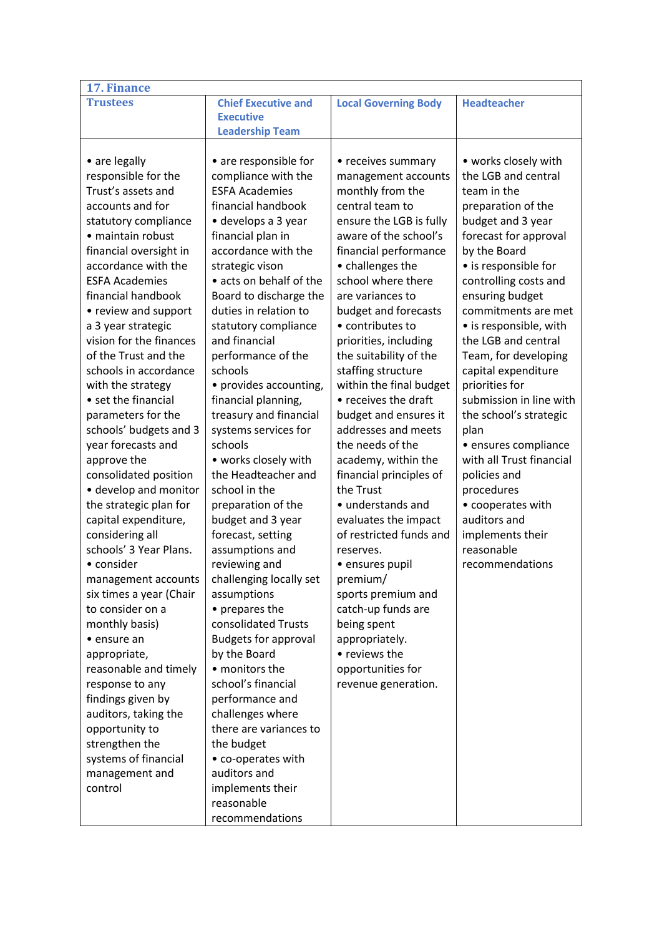| 17. Finance             |                             |                             |                          |  |
|-------------------------|-----------------------------|-----------------------------|--------------------------|--|
| <b>Trustees</b>         | <b>Chief Executive and</b>  | <b>Local Governing Body</b> | <b>Headteacher</b>       |  |
|                         | <b>Executive</b>            |                             |                          |  |
|                         | <b>Leadership Team</b>      |                             |                          |  |
|                         |                             |                             |                          |  |
| • are legally           | • are responsible for       | • receives summary          | • works closely with     |  |
| responsible for the     | compliance with the         | management accounts         | the LGB and central      |  |
| Trust's assets and      | <b>ESFA Academies</b>       | monthly from the            | team in the              |  |
| accounts and for        | financial handbook          | central team to             | preparation of the       |  |
| statutory compliance    | · develops a 3 year         | ensure the LGB is fully     | budget and 3 year        |  |
| · maintain robust       | financial plan in           | aware of the school's       | forecast for approval    |  |
| financial oversight in  | accordance with the         | financial performance       | by the Board             |  |
| accordance with the     | strategic vison             | • challenges the            | • is responsible for     |  |
| <b>ESFA Academies</b>   | • acts on behalf of the     | school where there          | controlling costs and    |  |
| financial handbook      | Board to discharge the      | are variances to            | ensuring budget          |  |
| • review and support    | duties in relation to       | budget and forecasts        | commitments are met      |  |
| a 3 year strategic      | statutory compliance        | • contributes to            | • is responsible, with   |  |
| vision for the finances | and financial               | priorities, including       | the LGB and central      |  |
| of the Trust and the    | performance of the          | the suitability of the      | Team, for developing     |  |
| schools in accordance   | schools                     | staffing structure          | capital expenditure      |  |
| with the strategy       | • provides accounting,      | within the final budget     | priorities for           |  |
| • set the financial     | financial planning,         | • receives the draft        | submission in line with  |  |
| parameters for the      | treasury and financial      | budget and ensures it       | the school's strategic   |  |
| schools' budgets and 3  | systems services for        | addresses and meets         | plan                     |  |
| year forecasts and      | schools                     | the needs of the            | · ensures compliance     |  |
| approve the             | • works closely with        | academy, within the         | with all Trust financial |  |
| consolidated position   | the Headteacher and         | financial principles of     | policies and             |  |
| • develop and monitor   | school in the               | the Trust                   | procedures               |  |
| the strategic plan for  | preparation of the          | • understands and           | • cooperates with        |  |
| capital expenditure,    | budget and 3 year           | evaluates the impact        | auditors and             |  |
| considering all         | forecast, setting           | of restricted funds and     | implements their         |  |
| schools' 3 Year Plans.  | assumptions and             | reserves.                   | reasonable               |  |
| • consider              | reviewing and               | · ensures pupil             | recommendations          |  |
| management accounts     | challenging locally set     | premium/                    |                          |  |
| six times a year (Chair | assumptions                 | sports premium and          |                          |  |
| to consider on a        | • prepares the              | catch-up funds are          |                          |  |
| monthly basis)          | consolidated Trusts         | being spent                 |                          |  |
| • ensure an             | <b>Budgets for approval</b> | appropriately.              |                          |  |
| appropriate,            | by the Board                | • reviews the               |                          |  |
| reasonable and timely   | • monitors the              | opportunities for           |                          |  |
| response to any         | school's financial          | revenue generation.         |                          |  |
| findings given by       | performance and             |                             |                          |  |
| auditors, taking the    | challenges where            |                             |                          |  |
| opportunity to          | there are variances to      |                             |                          |  |
| strengthen the          | the budget                  |                             |                          |  |
| systems of financial    | • co-operates with          |                             |                          |  |
| management and          | auditors and                |                             |                          |  |
| control                 | implements their            |                             |                          |  |
|                         | reasonable                  |                             |                          |  |
|                         | recommendations             |                             |                          |  |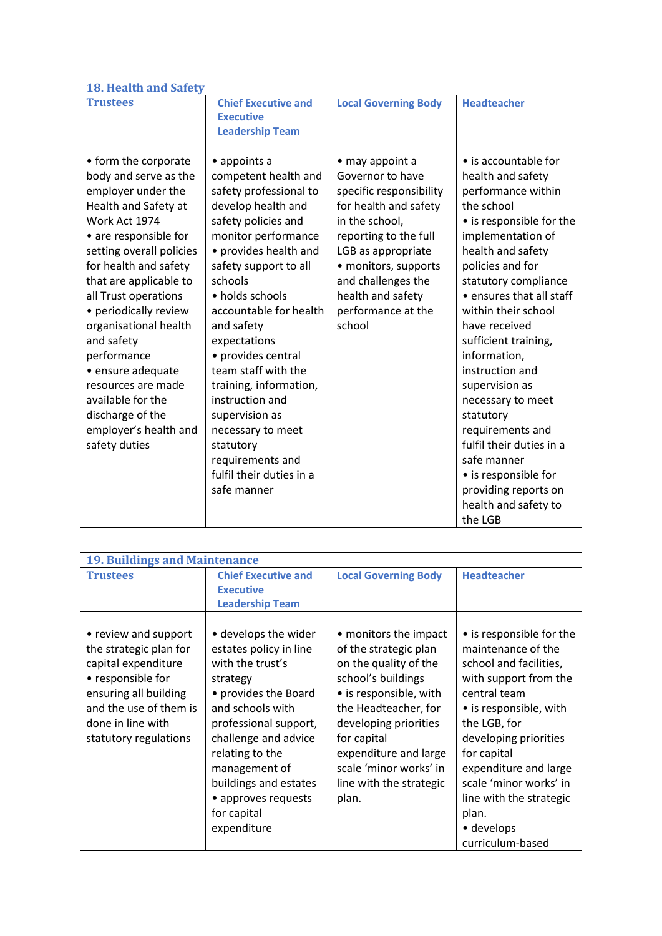| <b>18. Health and Safety</b> |                            |                             |                          |
|------------------------------|----------------------------|-----------------------------|--------------------------|
| <b>Trustees</b>              | <b>Chief Executive and</b> | <b>Local Governing Body</b> | <b>Headteacher</b>       |
|                              | <b>Executive</b>           |                             |                          |
|                              | <b>Leadership Team</b>     |                             |                          |
|                              |                            |                             |                          |
| • form the corporate         | • appoints a               | • may appoint a             | • is accountable for     |
| body and serve as the        | competent health and       | Governor to have            | health and safety        |
| employer under the           | safety professional to     | specific responsibility     | performance within       |
| Health and Safety at         | develop health and         | for health and safety       | the school               |
| Work Act 1974                | safety policies and        | in the school,              | • is responsible for the |
| • are responsible for        | monitor performance        | reporting to the full       | implementation of        |
| setting overall policies     | • provides health and      | LGB as appropriate          | health and safety        |
| for health and safety        | safety support to all      | • monitors, supports        | policies and for         |
| that are applicable to       | schools                    | and challenges the          | statutory compliance     |
| all Trust operations         | • holds schools            | health and safety           | • ensures that all staff |
| • periodically review        | accountable for health     | performance at the          | within their school      |
| organisational health        | and safety                 | school                      | have received            |
| and safety                   | expectations               |                             | sufficient training,     |
| performance                  | • provides central         |                             | information,             |
| · ensure adequate            | team staff with the        |                             | instruction and          |
| resources are made           | training, information,     |                             | supervision as           |
| available for the            | instruction and            |                             | necessary to meet        |
| discharge of the             | supervision as             |                             | statutory                |
| employer's health and        | necessary to meet          |                             | requirements and         |
| safety duties                | statutory                  |                             | fulfil their duties in a |
|                              | requirements and           |                             | safe manner              |
|                              | fulfil their duties in a   |                             | • is responsible for     |
|                              | safe manner                |                             | providing reports on     |
|                              |                            |                             | health and safety to     |
|                              |                            |                             | the LGB                  |

| <b>19. Buildings and Maintenance</b>                                                                                                                                                        |                                                                                                                                                                                                                                                                                               |                                                                                                                                                                                                                                                                                |                                                                                                                                                                                                                                                                                                                              |  |
|---------------------------------------------------------------------------------------------------------------------------------------------------------------------------------------------|-----------------------------------------------------------------------------------------------------------------------------------------------------------------------------------------------------------------------------------------------------------------------------------------------|--------------------------------------------------------------------------------------------------------------------------------------------------------------------------------------------------------------------------------------------------------------------------------|------------------------------------------------------------------------------------------------------------------------------------------------------------------------------------------------------------------------------------------------------------------------------------------------------------------------------|--|
| <b>Trustees</b>                                                                                                                                                                             | <b>Chief Executive and</b>                                                                                                                                                                                                                                                                    | <b>Local Governing Body</b>                                                                                                                                                                                                                                                    | <b>Headteacher</b>                                                                                                                                                                                                                                                                                                           |  |
|                                                                                                                                                                                             | <b>Executive</b>                                                                                                                                                                                                                                                                              |                                                                                                                                                                                                                                                                                |                                                                                                                                                                                                                                                                                                                              |  |
|                                                                                                                                                                                             | <b>Leadership Team</b>                                                                                                                                                                                                                                                                        |                                                                                                                                                                                                                                                                                |                                                                                                                                                                                                                                                                                                                              |  |
| • review and support<br>the strategic plan for<br>capital expenditure<br>• responsible for<br>ensuring all building<br>and the use of them is<br>done in line with<br>statutory regulations | • develops the wider<br>estates policy in line<br>with the trust's<br>strategy<br>• provides the Board<br>and schools with<br>professional support,<br>challenge and advice<br>relating to the<br>management of<br>buildings and estates<br>• approves requests<br>for capital<br>expenditure | • monitors the impact<br>of the strategic plan<br>on the quality of the<br>school's buildings<br>• is responsible, with<br>the Headteacher, for<br>developing priorities<br>for capital<br>expenditure and large<br>scale 'minor works' in<br>line with the strategic<br>plan. | • is responsible for the<br>maintenance of the<br>school and facilities,<br>with support from the<br>central team<br>• is responsible, with<br>the LGB, for<br>developing priorities<br>for capital<br>expenditure and large<br>scale 'minor works' in<br>line with the strategic<br>plan.<br>• develops<br>curriculum-based |  |